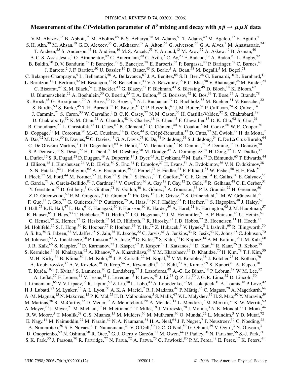# **Measurement of the CP-violation parameter of**  $B^0$  **mixing and decay with**  $p\bar{p} \rightarrow \mu \mu X$  **data**

<span id="page-0-0"></span>V. M. Abazov,<sup>35</sup> B. Abbott,<sup>75</sup> M. Abolins,<sup>65</sup> B. S. Acharya,<sup>28</sup> M. Adams,<sup>51</sup> T. Adams,<sup>49</sup> M. Agelou,<sup>17</sup> E. Aguilo,<sup>5</sup> S. H. Ahn,<sup>30</sup> M. Ahsan,<sup>59</sup> G. D. Alexeev,<sup>35</sup> G. Alkhazov,<sup>39</sup> A. Alton,<sup>64</sup> G. Alverson,<sup>63</sup> G. A. Alves,<sup>2</sup> M. Anastasoaie,<sup>34</sup> T. Andeen,<sup>53</sup> S. Anderson,<sup>45</sup> B. Andrieu,<sup>16</sup> M. S. Anzelc,<sup>53</sup> Y. Arnoud,<sup>13</sup> M. Arov,<sup>52</sup> A. Askew,<sup>49</sup> B. Åsman,<sup>40</sup> A. C. S. Assis Jesus,<sup>3</sup> O. Atramentov,<sup>49</sup> C. Autermann,<sup>20</sup> C. Avila,<sup>7</sup> C. Ay,<sup>23</sup> F. Badaud,<sup>12</sup> A. Baden,<sup>61</sup> L. Bagby,<sup>52</sup> B. Baldin,<sup>50</sup> D. V. Bandurin,<sup>59</sup> P. Banerjee,<sup>28</sup> S. Banerjee,<sup>28</sup> E. Barberis,<sup>63</sup> P. Bargassa,<sup>80</sup> P. Baringer,<sup>58</sup> C. Barnes,<sup>43</sup> J. Barreto,<sup>2</sup> J. F. Bartlett,<sup>50</sup> U. Bassler,<sup>16</sup> D. Bauer,<sup>43</sup> S. Beale,<sup>5</sup> A. Bean,<sup>58</sup> M. Begalli,<sup>3</sup> M. Begel,<sup>71</sup> C. Belanger-Champagne,<sup>5</sup> L. Bellantoni,<sup>50</sup> A. Bellavance,<sup>67</sup> J. A. Benitez,<sup>65</sup> S. B. Beri,<sup>26</sup> G. Bernardi,<sup>16</sup> R. Bernhard,<sup>41</sup> L. Berntzon, <sup>14</sup> I. Bertram, <sup>42</sup> M. Besançon, <sup>17</sup> R. Beuselinck, <sup>43</sup> V. A. Bezzubov, <sup>38</sup> P. C. Bhat, <sup>50</sup> V. Bhatnagar, <sup>26</sup> M. Binder, <sup>24</sup> C. Biscarat,<sup>42</sup> K. M. Black,<sup>62</sup> I. Blackler,<sup>43</sup> G. Blazey,<sup>52</sup> F. Blekman,<sup>43</sup> S. Blessing,<sup>49</sup> D. Bloch,<sup>18</sup> K. Bloom,<sup>67</sup> U. Blumenschein,<sup>22</sup> A. Boehnlein,<sup>50</sup> O. Boeriu,<sup>55</sup> T. A. Bolton,<sup>59</sup> G. Borissov,<sup>42</sup> K. Bos,<sup>33</sup> T. Bose,<sup>77</sup> A. Brandt,<sup>78</sup> R. Brock,<sup>65</sup> G. Brooijmans,<sup>70</sup> A. Bross,<sup>50</sup> D. Brown,<sup>78</sup> N. J. Buchanan,<sup>49</sup> D. Buchholz,<sup>53</sup> M. Buehler,<sup>81</sup> V. Buescher,<sup>22</sup> S. Burdin,<sup>50</sup> S. Burke,<sup>45</sup> T. H. Burnett,<sup>82</sup> E. Busato,<sup>16</sup> C. P. Buszello,<sup>43</sup> J. M. Butler,<sup>62</sup> P. Calfayan,<sup>24</sup> S. Calvet,<sup>14</sup> J. Cammin,<sup>71</sup> S. Caron,<sup>33</sup> W. Carvalho,<sup>3</sup> B. C. K. Casey,<sup>77</sup> N. M. Cason,<sup>55</sup> H. Castilla-Valdez,<sup>32</sup> S. Chakrabarti,<sup>28</sup> D. Chakraborty,<sup>52</sup> K. M. Chan,<sup>71</sup> A. Chandra,<sup>48</sup> F. Charles,<sup>18</sup> E. Cheu,<sup>45</sup> F. Chevallier,<sup>13</sup> D. K. Cho,<sup>62</sup> S. Choi,<sup>31</sup> B. Choudhary,<sup>27</sup> L. Christofek,<sup>77</sup> D. Claes,<sup>67</sup> B. Clément,<sup>18</sup> C. Clément,<sup>40</sup> Y. Coadou,<sup>5</sup> M. Cooke,<sup>80</sup> W. E. Cooper,<sup>50</sup> D. Coppage,<sup>58</sup> M. Corcoran,<sup>80</sup> M.-C. Cousinou,<sup>14</sup> B. Cox,<sup>44</sup> S. Crépé-Renaudin,<sup>13</sup> D. Cutts,<sup>77</sup> M. Ćwiok,<sup>29</sup> H. da Motta,<sup>2</sup> A. Das,  $^{62}$  M. Das,  $^{60}$  B. Davies,  $^{42}$  G. Davies,  $^{43}$  G. A. Davis,  $^{53}$  K. De,  $^{78}$  P. de Jong,  $^{33}$  S. J. de Jong,  $^{34}$  E. De La Cruz-Burelo,  $^{64}$ C. De Oliveira Martins,<sup>3</sup> J. D. Degenhardt,<sup>64</sup> F. Déliot,<sup>17</sup> M. Demarteau,<sup>50</sup> R. Demina,<sup>71</sup> P. Demine,<sup>17</sup> D. Denisov,<sup>50</sup> S. P. Denisov,<sup>38</sup> S. Desai,<sup>72</sup> H. T. Diehl,<sup>50</sup> M. Diesburg,<sup>50</sup> M. Doidge,<sup>42</sup> A. Dominguez,<sup>67</sup> H. Dong,<sup>72</sup> L. V. Dudko,<sup>37</sup> L. Duflot,<sup>15</sup> S. R. Dugad,<sup>28</sup> D. Duggan,<sup>49</sup> A. Duperrin,<sup>14</sup> J. Dyer,<sup>65</sup> A. Dyshkant,<sup>52</sup> M. Eads,<sup>67</sup> D. Edmunds,<sup>65</sup> T. Edwards,<sup>44</sup> J. Ellison,<sup>48</sup> J. Elmsheuser,<sup>24</sup> V. D. Elvira,<sup>50</sup> S. Eno,<sup>61</sup> P. Ermolov,<sup>37</sup> H. Evans,<sup>54</sup> A. Evdokimov,<sup>36</sup> V. N. Evdokimov,<sup>38</sup> S. N. Fatakia,  $^{62}$  L. Feligioni,  $^{62}$  A. V. Ferapontov,  $^{59}$  T. Ferbel,  $^{71}$  F. Fiedler,  $^{24}$  F. Filthaut,  $^{34}$  W. Fisher,  $^{50}$  H. E. Fisk,  $^{50}$ I. Fleck,<sup>22</sup> M. Ford,<sup>44</sup> M. Fortner,<sup>52</sup> H. Fox,<sup>22</sup> S. Fu,<sup>50</sup> S. Fuess,<sup>50</sup> T. Gadfort,<sup>82</sup> C. F. Galea,<sup>34</sup> E. Gallas,<sup>50</sup> E. Galyaev,<sup>55</sup> C. Garcia,  $^{71}$  A. Garcia-Bellido,  $^{82}$  J. Gardner,  $^{58}$  V. Gavrilov,  $^{36}$  A. Gay,  $^{18}$  P. Gay,  $^{12}$  D. Gelé,  $^{18}$  R. Gelhaus,  $^{48}$  C. E. Gerber,  $^{51}$ Y. Gershtein,<sup>49</sup> D. Gillberg,<sup>5</sup> G. Ginther,<sup>71</sup> N. Gollub,<sup>40</sup> B. Gómez,<sup>7</sup> A. Goussiou,<sup>55</sup> P. D. Grannis,<sup>72</sup> H. Greenlee,<sup>50</sup> Z. D. Greenwood,<sup>60</sup> E. M. Gregores,<sup>4</sup> G. Grenier,<sup>19</sup> Ph. Gris,<sup>12</sup> J.-F. Grivaz,<sup>15</sup> S. Grünendahl,<sup>50</sup> M. W. Grünewald,<sup>29</sup> F. Guo,<sup>72</sup> J. Guo,<sup>72</sup> G. Gutierrez,<sup>50</sup> P. Gutierrez,<sup>75</sup> A. Haas,<sup>70</sup> N. J. Hadley,<sup>61</sup> P. Haefner,<sup>24</sup> S. Hagopian,<sup>49</sup> J. Haley,<sup>68</sup> I. Hall,<sup>75</sup> R. E. Hall,<sup>47</sup> L. Han,<sup>6</sup> K. Hanagaki,<sup>50</sup> P. Hansson,<sup>40</sup> K. Harder,<sup>59</sup> A. Harel,<sup>71</sup> R. Harrington,<sup>63</sup> J. M. Hauptman,<sup>57</sup> R. Hauser,<sup>65</sup> J. Hays,<sup>53</sup> T. Hebbeker,<sup>20</sup> D. Hedin,<sup>52</sup> J. G. Hegeman,<sup>33</sup> J. M. Heinmiller,<sup>51</sup> A. P. Heinson,<sup>48</sup> U. Heintz,<sup>62</sup> C. Hensel,<sup>58</sup> K. Herner,<sup>72</sup> G. Hesketh,<sup>63</sup> M. D. Hildreth,<sup>55</sup> R. Hirosky,<sup>81</sup> J. D. Hobbs,<sup>72</sup> B. Hoeneisen,<sup>11</sup> H. Hoeth,<sup>25</sup> M. Hohlfeld,<sup>15</sup> S. J. Hong,<sup>30</sup> R. Hooper,<sup>77</sup> P. Houben,<sup>33</sup> Y. Hu,<sup>72</sup> Z. Hubacek,<sup>9</sup> V. Hynek,<sup>8</sup> I. Iashvili,<sup>69</sup> R. Illingworth,<sup>50</sup> A. S. Ito,<sup>50</sup> S. Jabeen,<sup>62</sup> M. Jaffré,<sup>15</sup> S. Jain,<sup>75</sup> K. Jakobs,<sup>22</sup> C. Jarvis,<sup>61</sup> A. Jenkins,<sup>43</sup> R. Jesik,<sup>43</sup> K. Johns,<sup>45</sup> C. Johnson,<sup>70</sup> M. Johnson,<sup>50</sup> A. Jonckheere,<sup>50</sup> P. Jonsson,<sup>43</sup> A. Juste,<sup>50</sup> D. Käfer,<sup>20</sup> S. Kahn,<sup>73</sup> E. Kajfasz,<sup>14</sup> A. M. Kalinin,<sup>35</sup> J. M. Kalk,<sup>60</sup> J. R. Kalk,<sup>65</sup> S. Kappler,<sup>20</sup> D. Karmanov,<sup>37</sup> J. Kasper,<sup>62</sup> P. Kasper,<sup>50</sup> I. Katsanos,<sup>70</sup> D. Kau,<sup>49</sup> R. Kaur,<sup>26</sup> R. Kehoe,<sup>79</sup> S. Kermiche,<sup>14</sup> N. Khalatyan,<sup>62</sup> A. Khanov,<sup>76</sup> A. Kharchilava,<sup>69</sup> Y. M. Kharzheev,<sup>35</sup> D. Khatidze,<sup>70</sup> H. Kim,<sup>78</sup> T. J. Kim,<sup>30</sup> M. H. Kirby,<sup>34</sup> B. Klima,<sup>50</sup> J. M. Kohli,<sup>26</sup> J.-P. Konrath,<sup>22</sup> M. Kopal,<sup>75</sup> V. M. Korablev,<sup>38</sup> J. Kotcher,<sup>73</sup> B. Kothari,<sup>70</sup> A. Koubarovsky,<sup>37</sup> A. V. Kozelov,<sup>38</sup> D. Krop,<sup>54</sup> A. Kryemadhi,<sup>81</sup> T. Kuhl,<sup>23</sup> A. Kumar,<sup>69</sup> S. Kunori,<sup>61</sup> A. Kupco,<sup>10</sup> T. Kurča,<sup>19,[\\*](#page-2-0)</sup> J. Kvita,<sup>8</sup> S. Lammers,<sup>70</sup> G. Landsberg,<sup>77</sup> J. Lazoflores,<sup>49</sup> A.-C. Le Bihan,<sup>18</sup> P. Lebrun,<sup>19</sup> W. M. Lee,<sup>52</sup> A. Leflat,  $37$  F. Lehner,  $41$  V. Lesne,  $12$  J. Leveque,  $45$  P. Lewis,  $43$  J. Li,  $78$  Q. Z. Li,  $50$  J. G. R. Lima,  $52$  D. Lincoln,  $50$ J. Linnemann,<sup>65</sup> V. V. Lipaev,<sup>38</sup> R. Lipton,<sup>50</sup> Z. Liu,<sup>50</sup> L. Lobo,<sup>43</sup> A. Lobodenko,<sup>39</sup> M. Lokajicek,<sup>10</sup> A. Lounis,<sup>18</sup> P. Love,<sup>42</sup> H. J. Lubatti,<sup>82</sup> M. Lynker,<sup>55</sup> A. L. Lyon,<sup>50</sup> A. K. A. Maciel,<sup>2</sup> R. J. Madaras,<sup>46</sup> P. Mättig,<sup>25</sup> C. Magass,<sup>20</sup> A. Magerkurth,<sup>64</sup> A.-M. Magnan,<sup>13</sup> N. Makovec,<sup>15</sup> P. K. Mal,<sup>55</sup> H. B. Malbouisson,<sup>3</sup> S. Malik,<sup>67</sup> V. L. Malyshev,<sup>35</sup> H. S. Mao,<sup>50</sup> Y. Maravin,<sup>59</sup> M. Martens,<sup>50</sup> R. McCarthy,<sup>72</sup> D. Meder,<sup>23</sup> A. Melnitchouk,<sup>66</sup> A. Mendes,<sup>14</sup> L. Mendoza,<sup>7</sup> M. Merkin,<sup>37</sup> K. W. Merritt,<sup>50</sup> A. Meyer,  $^{20}$  J. Meyer,  $^{21}$  M. Michaut,  $^{17}$  H. Miettinen,  $^{80}$  T. Millet,  $^{19}$  J. Mitrevski,  $^{70}$  J. Molina,  $^{3}$  N. K. Mondal,  $^{28}$  J. Monk,  $^{44}$ R. W. Moore,<sup>5</sup> T. Moulik,<sup>58</sup> G. S. Muanza,<sup>15</sup> M. Mulders,<sup>50</sup> M. Mulhearn,<sup>70</sup> O. Mundal,<sup>22</sup> L. Mundim,<sup>3</sup> Y. D. Mutaf,<sup>72</sup> E. Nagy, <sup>14</sup> M. Naimuddin, <sup>27</sup> M. Narain, <sup>62</sup> N. A. Naumann, <sup>34</sup> H. A. Neal, <sup>64</sup> J. P. Negret, <sup>7</sup> P. Neustroev, <sup>39</sup> C. Noeding, <sup>22</sup> A. Nomerotski,<sup>50</sup> S. F. Novaes,<sup>4</sup> T. Nunnemann,<sup>24</sup> V. O'Dell,<sup>50</sup> D. C. O'Neil,<sup>50</sup> G. Obrant,<sup>39</sup> V. Oguri,<sup>3</sup> N. Oliveira,<sup>3</sup> D. Onoprienko,<sup>59</sup> N. Oshima,<sup>50</sup> R. Otec,<sup>9</sup> G. J. Otero y Garzón,<sup>51</sup> M. Owen,<sup>44</sup> P. Padley,<sup>80</sup> N. Parashar,<sup>56</sup> S.-J. Park,<sup>71</sup> S. K. Park,<sup>30</sup> J. Parsons,<sup>70</sup> R. Partridge,<sup>77</sup> N. Parua,<sup>72</sup> A. Patwa,<sup>73</sup> G. Pawloski,<sup>80</sup> P. M. Perea,<sup>48</sup> E. Perez,<sup>17</sup> K. Peters,<sup>44</sup>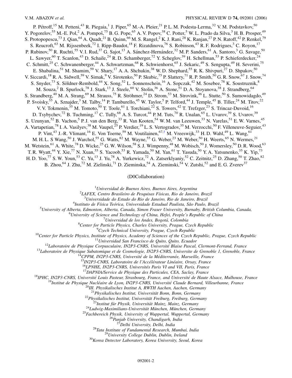P. Pétroff,<sup>15</sup> M. Petteni,<sup>43</sup> R. Piegaia,<sup>1</sup> J. Piper,<sup>65</sup> M.-A. Pleier,<sup>21</sup> P.L.M. Podesta-Lerma,<sup>32</sup> V.M. Podstavkov,<sup>50</sup> Y. Pogorelov,<sup>55</sup> M.-E. Pol,<sup>2</sup> A. Pompoš,<sup>75</sup> B.G. Pope,<sup>65</sup> A.V. Popov,<sup>38</sup> C. Potter,<sup>5</sup> W.L. Prado da Silva,<sup>3</sup> H.B. Prosper,<sup>49</sup> S. Protopopescu,<sup>73</sup> J. Qian,<sup>64</sup> A. Quadt,<sup>21</sup> B. Quinn,<sup>66</sup> M. S. Rangel,<sup>2</sup> K. J. Rani,<sup>28</sup> K. Ranjan,<sup>27</sup> P. N. Ratoff,<sup>42</sup> P. Renkel,<sup>79</sup> S. Reucroft,<sup>63</sup> M. Rijssenbeek,<sup>72</sup> I. Ripp-Baudot,<sup>18</sup> F. Rizatdinova,<sup>76</sup> S. Robinson,<sup>43</sup> R. F. Rodrigues,<sup>3</sup> C. Royon,<sup>17</sup> P. Rubinov,<sup>50</sup> R. Ruchti,<sup>55</sup> V. I. Rud,<sup>37</sup> G. Sajot,<sup>13</sup> A. Sánchez-Hernández,<sup>32</sup> M. P. Sanders,<sup>61</sup> A. Santoro,<sup>3</sup> G. Savage,<sup>50</sup> L. Sawyer,<sup>60</sup> T. Scanlon,<sup>43</sup> D. Schaile,<sup>24</sup> R. D. Schamberger,<sup>72</sup> Y. Scheglov,<sup>39</sup> H. Schellman,<sup>53</sup> P. Schieferdecker,<sup>24</sup> C. Schmitt,<sup>25</sup> C. Schwanenberger,<sup>44</sup> A. Schwartzman,<sup>68</sup> R. Schwienhorst,<sup>65</sup> J. Sekaric,<sup>49</sup> S. Sengupta,<sup>49</sup> H. Severini,<sup>75</sup> E. Shabalina,<sup>51</sup> M. Shamim,<sup>59</sup> V. Shary,<sup>17</sup> A. A. Shchukin,<sup>38</sup> W. D. Shephard,<sup>55</sup> R. K. Shivpuri,<sup>27</sup> D. Shpakov,<sup>50</sup> V. Siccardi,<sup>18</sup> R. A. Sidwell,<sup>59</sup> V. Simak,<sup>9</sup> V. Sirotenko,<sup>50</sup> P. Skubic,<sup>75</sup> P. Slattery,<sup>71</sup> R. P. Smith,<sup>50</sup> G. R. Snow,<sup>67</sup> J. Snow,<sup>74</sup> S. Snyder,<sup>73</sup> S. Söldner-Rembold,<sup>44</sup> X. Song,<sup>52</sup> L. Sonnenschein,<sup>16</sup> A. Sopczak,<sup>42</sup> M. Sosebee,<sup>78</sup> K. Soustruznik,<sup>8</sup> M. Souza,<sup>2</sup> B. Spurlock,<sup>78</sup> J. Stark,<sup>13</sup> J. Steele,<sup>60</sup> V. Stolin,<sup>36</sup> A. Stone,<sup>51</sup> D. A. Stoyanova,<sup>38</sup> J. Strandberg,<sup>64</sup> S. Strandberg,<sup>40</sup> M. A. Strang,<sup>69</sup> M. Strauss,<sup>75</sup> R. Ströhmer,<sup>24</sup> D. Strom,<sup>53</sup> M. Strovink,<sup>46</sup> L. Stutte,<sup>50</sup> S. Sumowidagdo,<sup>49</sup> P. Svoisky,<sup>55</sup> A. Sznajder,<sup>3</sup> M. Talby,<sup>14</sup> P. Tamburello,<sup>45</sup> W. Taylor,<sup>5</sup> P. Telford,<sup>44</sup> J. Temple,<sup>45</sup> B. Tiller,<sup>24</sup> M. Titov,<sup>22</sup> V. V. Tokmenin,<sup>35</sup> M. Tomoto,<sup>50</sup> T. Toole,<sup>61</sup> I. Torchiani,<sup>22</sup> S. Towers,<sup>42</sup> T. Trefzger,<sup>23</sup> S. Trincaz-Duvoid,<sup>16</sup> D. Tsybychev,<sup>72</sup> B. Tuchming,<sup>17</sup> C. Tully,<sup>68</sup> A. S. Turcot,<sup>44</sup> P. M. Tuts,<sup>70</sup> R. Unalan,<sup>65</sup> L. Uvarov,<sup>39</sup> S. Uvarov,<sup>39</sup> S. Uzunyan,<sup>52</sup> B. Vachon,<sup>5</sup> P. J. van den Berg,<sup>33</sup> R. Van Kooten,<sup>54</sup> W. M. van Leeuwen,<sup>33</sup> N. Varelas,<sup>51</sup> E. W. Varnes,<sup>45</sup> A. Vartapetian,<sup>78</sup> I. A. Vasilyev,<sup>38</sup> M. Vaupel,<sup>25</sup> P. Verdier,<sup>19</sup> L. S. Vertogradov,<sup>35</sup> M. Verzocchi,<sup>50</sup> F. Villeneuve-Seguier,<sup>43</sup> P. Vint,<sup>43</sup> J.-R. Vlimant,<sup>16</sup> E. Von Toerne,<sup>59</sup> M. Voutilainen,<sup>67,[†](#page-2-1)</sup> M. Vreeswijk,<sup>33</sup> H. D. Wahl,<sup>49</sup> L. Wang,<sup>61</sup> M. H. L. S Wang, <sup>50</sup> J. Warchol, <sup>55</sup> G. Watts, <sup>82</sup> M. Wayne, <sup>55</sup> G. Weber, <sup>23</sup> M. Weber, <sup>50</sup> H. Weerts, <sup>65</sup> N. Wermes, <sup>21</sup> M. Wetstein,<sup>61</sup> A. White,<sup>78</sup> D. Wicke,<sup>25</sup> G. W. Wilson,<sup>58</sup> S. J. Wimpenny,<sup>48</sup> M. Wobisch,<sup>50</sup> J. Womersley,<sup>50</sup> D. R. Wood,<sup>63</sup> T. R. Wyatt,<sup>44</sup> Y. Xie,<sup>77</sup> N. Xuan,<sup>55</sup> S. Yacoob,<sup>53</sup> R. Yamada,<sup>50</sup> M. Yan,<sup>61</sup> T. Yasuda,<sup>50</sup> Y. A. Yatsunenko,<sup>35</sup> K. Yip,<sup>73</sup> H. D. Yoo,<sup>77</sup> S. W. Youn,<sup>53</sup> C. Yu,<sup>13</sup> J. Yu,<sup>78</sup> A. Yurkewicz,<sup>72</sup> A. Zatserklyaniy,<sup>52</sup> C. Zeitnitz,<sup>25</sup> D. Zhang,<sup>50</sup> T. Zhao,<sup>82</sup> B. Zhou,<sup>64</sup> J. Zhu,<sup>72</sup> M. Zielinski,<sup>71</sup> D. Zieminska,<sup>54</sup> A. Zieminski,<sup>54</sup> V. Zutshi,<sup>52</sup> and E. G. Zverev<sup>37</sup>

<span id="page-1-0"></span>

(D0Collaboration)

1 *Universidad de Buenos Aires, Buenos Aires, Argentina* <sup>2</sup>

*LAFEX, Centro Brasileiro de Pesquisas Fı´sicas, Rio de Janeiro, Brazil* <sup>3</sup>

*Universidade do Estado do Rio de Janeiro, Rio de Janeiro, Brazil* <sup>4</sup>

<sup>4</sup>Instituto de Física Teórica, Universidade Estadual Paulista, São Paulo, Brazil

*University of Alberta, Edmonton, Alberta, Canada, Simon Fraser University, Burnaby, British Columbia, Canada,* <sup>6</sup>

*University of Science and Technology of China, Hefei, People's Republic of China* <sup>7</sup>

*Universidad de los Andes, Bogota´, Colombia* <sup>8</sup>

<sup>8</sup> Center for Particle Physics, Charles University, Prague, Czech Republic <sup>9</sup> Czech Technical University, Prague, Czech Republic

<sup>10</sup>Center for Particle Physics, Institute of Physics, Academy of Sciences of the Czech Republic, Prague, Czech Republic<br><sup>10</sup>Center for Particle Physics, Institute of Physics, Academy of Sciences of the Czech Republic, Pr

<sup>20</sup>III. Physikalisches Institut A, RWTH Aachen, Aachen, Germany<br><sup>21</sup> Physikalisches Institut, Universität Bonn, Bonn, Germany<br><sup>22</sup> Physikalisches Institut, Universität Freiburg, Freiburg, Germany<br><sup>23</sup> Institut für Physik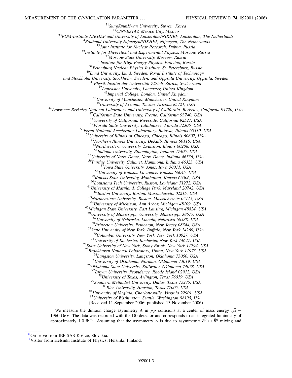<sup>31</sup>SungKyunKwan University, Suwon, Korea<br><sup>32</sup>CINVESTAV, Mexico City, Mexico<br><sup>32</sup>CINVESTAV, Mexico City, Mexico<br><sup>33</sup>FOM-Institute NIKHEF and University of Amsterdam/NIKHEF, Amsterdam, The Netherlands<br><sup>34</sup>Radboud Universit *and Stockholm University, Stockholm, Sweden, and Uppsala University, Uppsala, Sweden*<br><sup>41</sup>*Physik Institut der Universität Zürich, Zürich, Switzerland*<br><sup>42</sup>*Lancaster University, Lancaster, United Kingdom*<br><sup>43</sup>*Imperial C* <sup>43</sup>*Imperial College, London, United Kingdom* <sup>44</sup>*University of Manchester, Manchester, United Kingdom* <sup>46</sup> Lawrence Berkeley National Laboratory and University of California, Berkeley, California 94720, USA<br><sup>47</sup> California State University, Fresno, California 93740, USA <sup>48</sup>*University of California, Riverside, California 92521, USA* <sup>49</sup>*Florida State University, Tallahassee, Florida 32306, USA* <sup>50</sup>*Fermi National Accelerator Laboratory, Batavia, Illinois 60510, USA* <sup>51</sup>*University of Illinois at Chicago, Chicago, Illinois 60607, USA* <sup>52</sup>*Northern Illinois University, DeKalb, Illinois 60115, USA* <sup>53</sup>*Northwestern University, Evanston, Illinois 60208, USA* <sup>55</sup>*University of Notre Dame, Notre Dame, Indiana 46556, USA* <sup>56</sup>*Purdue University Calumet, Hammond, Indiana 46323, USA* <sup>57</sup> Iowa State University, Ames, Iowa 50011, USA<br><sup>58</sup> University of Kansas, Lawrence, Kansas 66045, USA<br><sup>59</sup> Kansas State University, Manhattan, Kansas 66506, USA<br><sup>60</sup> Louisiana Tech University, Ruston, Louisiana 71272, <sup>64</sup>*University of Michigan, Ann Arbor, Michigan 48109, USA* <sup>65</sup>*Michigan State University, East Lansing, Michigan 48824, USA* <sup>66</sup>*University of Mississippi, University, Mississippi 38677, USA* <sup>67</sup> University of Nebraska, Lincoln, Nebraska 68588, USA<br><sup>68</sup> Princeton University, Princeton, New Jersey 08544, USA<br><sup>69</sup> State University of New York, Buffalo, New York 14260, USA <sup>70</sup>*Columbia University, New York, New York 10027, USA* <sup>71</sup>*University of Rochester, Rochester, New York 14627, USA* <sup>72</sup>*State University of New York, Stony Brook, New York 11794, USA* <sup>74</sup>Langston University, Langston, Oklahoma 73050, USA<br><sup>75</sup>University of Oklahoma, Norman, Oklahoma 73019, USA<br><sup>76</sup>Oklahoma State University, Stillwater, Oklahoma 74078, USA<br><sup>77</sup>Brown University, Providence, Rhode Island <sup>78</sup>University of Texas, Arlington, Texas 76019, USA<br><sup>79</sup>Southern Methodist University, Dallas, Texas 75275, USA<br><sup>80</sup>Rice University, Houston, Texas 77005, USA<br><sup>81</sup>University of Virginia, Charlottesville, Virginia 22901, <sup>82</sup>*University of Washington, Seattle, Washington 98195, USA* (Received 11 September 2006; published 13 November 2006)

We measure the dimuon charge asymmetry *A* in  $p\bar{p}$  collisions at a center of mass energy  $\sqrt{s}$  = 1960 GeV. The data was recorded with the D0 detector and corresponds to an integrated luminosity of approximately 1.0 fb<sup>-1</sup>. Assuming that the asymmetry *A* is due to asymmetric  $B^0 \leftrightarrow \overline{B}^0$  mixing and

<span id="page-2-0"></span>[<sup>\\*</sup>O](#page-0-0)n leave from IEP SAS Košice, Slovakia.

<span id="page-2-1"></span>[<sup>†</sup>](#page-1-0) Visitor from Helsinki Institute of Physics, Helsinki, Finland.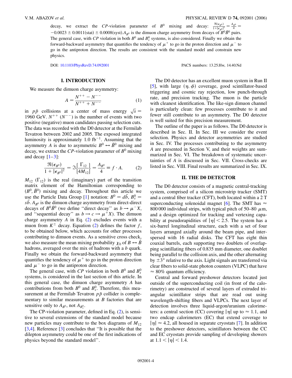decay, we extract the *CP*-violation parameter of  $B^0$  mixing and decay:  $\frac{\Re(\epsilon_{B^0})}{1+|\epsilon_{B^0}|^2} = \frac{A_{B^0}}{4}$  $-0.0023 \pm 0.0011$ (stat)  $\pm 0.0008$ (syst). $A_{B^0}$  is the dimuon charge asymmetry from decays of  $B^0\overline{B}^0$  pairs. The general case, with  $CP$  violation in both  $B^0$  and  $B^0_s$  systems, is also considered. Finally we obtain the forward-backward asymmetry that quantifies the tendency of  $\mu^+$  to go in the proton direction and  $\mu^-$  to go in the antiproton direction. The results are consistent with the standard model and constrain new physics.

#### **I. INTRODUCTION**

We measure the dimuon charge asymmetry:

$$
A = \frac{N^{++} - N^{--}}{N^{++} + N^{--}} \tag{1}
$$

in *pp* collisions at a center of mass energy  $\sqrt{s}$  = 1960 GeV.  $N^{++}$  ( $N^{--}$ ) is the number of events with two positive (negative) muon candidates passing selection cuts. The data was recorded with the D0 detector at the Fermilab Tevatron between 2002 and 2005. The exposed integrated luminosity is approximately 1*:*0 fb-<sup>1</sup>. Assuming that the asymmetry *A* is due to asymmetric  $B^0 \leftrightarrow \overline{B}^0$  mixing and decay, we extract the *CP*-violation parameter of  $B^0$  mixing and decay  $[1-3]$  $[1-3]$  $[1-3]$ :

<span id="page-3-0"></span>
$$
\frac{\Re(\epsilon_{B^0})}{1+|\epsilon_{B^0}|^2} = \Im\left\{\frac{\Gamma_{12}}{4M_{12}}\right\} = \frac{A_{B^0}}{4} \equiv f \cdot A. \tag{2}
$$

 $M_{12}$  ( $\Gamma_{12}$ ) is the real (imaginary) part of the transition matrix element of the Hamiltonian corresponding to  $(B^0, \bar{B}^0)$  mixing and decay. Throughout this article we use the Particle Data Group [\[1](#page-11-0)] notation:  $B^0 = d\bar{b}$ ,  $B_s^0 =$  $s\bar{b}$ .  $A_{B^0}$  is the dimuon charge asymmetry from direct-direct decays of  $B^0\overline{B}^0$  (we define "direct decay" as  $b \to \mu^- X$ , and "sequential decay" as  $b \rightarrow c \rightarrow \mu^{+}X$ ). The dimuon charge asymmetry *A* in Eq. ([2](#page-3-0)) excludes events with a muon from  $K^{\pm}$  decay. Equation ([2\)](#page-3-0) defines the factor *f*, to be obtained below, which accounts for other processes contributing to dimuon events. As a sensitive cross check, we also measure the mean mixing probability  $\chi_0$  of  $B \leftrightarrow \overline{B}$ hadrons, averaged over the mix of hadrons with a *b* quark. Finally we obtain the forward-backward asymmetry that quantifies the tendency of  $\mu^+$  to go in the proton direction and  $\mu^-$  to go in the antiproton direction.

The general case, with *CP* violation in both  $B^0$  and  $B_s^0$ systems, is considered in the last section of this article. In this general case, the dimuon charge asymmetry *A* has contributions from both  $B^0$  and  $B_s^0$ . Therefore, this measurement at the Fermilab Tevatron  $p\bar{p}$  collider is complementary to similar measurements at *B* factories that are sensitive only to  $A_{B^0}$ , not  $A_{B_s^0}$ .

The CP-violation parameter, defined in Eq. [\(2](#page-3-0)), is sensitive to several extensions of the standard model because new particles may contribute to the box diagrams of  $M_{12}$ [\[3,](#page-11-1)[4](#page-11-2)]. Reference [[3\]](#page-11-1) concludes that "It is possible that the dilepton asymmetry could be one of the first indications of physics beyond the standard model''.

DOI: [10.1103/PhysRevD.74.092001](http://dx.doi.org/10.1103/PhysRevD.74.092001) PACS numbers: 13.25.Hw, 14.40.Nd

The D0 detector has an excellent muon system in Run II [\[5\]](#page-11-3), with large  $(\eta, \phi)$  coverage, good scintillator-based triggering and cosmic ray rejection, low punch-through rate, and precision tracking. The muon is the particle with cleanest identification. The like-sign dimuon channel is particularly clean: few processes contribute to it and fewer still contribute to an asymmetry. The D0 detector is well suited for this precision measurement.

The outline of the paper is as follows. The D0 detector is described in Sec. II. In Sec. III we consider the event selection. Physics and detector asymmetries are studied in Sec. IV. The processes contributing to the asymmetry *A* are presented in Section V, and their weights are summarized in Sec. VI. The breakdown of systematic uncertainties of *A* is discussed in Sec. VII. Cross-checks are listed in Sec. VIII. Final results are summarized in Sec. IX.

#### **II. THE D0 DETECTOR**

The D0 detector consists of a magnetic central-tracking system, comprised of a silicon microstrip tracker (SMT) and a central fiber tracker (CFT), both located within a 2 T superconducting solenoidal magnet [\[6](#page-11-4)]. The SMT has  $\approx$ 800 000 individual strips, with typical pitch of 50–80  $\mu$ m, and a design optimized for tracking and vertexing capability at pseudorapidities of  $|\eta|$  < 2.5. The system has a six-barrel longitudinal structure, each with a set of four layers arranged axially around the beam pipe, and interspersed with 16 radial disks. The CFT has eight thin coaxial barrels, each supporting two doublets of overlapping scintillating fibers of 0.835 mm diameter, one doublet being parallel to the collision axis, and the other alternating by  $\pm 3^{\circ}$  relative to the axis. Light signals are transferred via clear fibers to solid-state photon counters (VLPC) that have  $\approx 80\%$  quantum efficiency.

Central and forward preshower detectors located just outside of the superconducting coil (in front of the calorimetry) are constructed of several layers of extruded triangular scintillator strips that are read out using wavelength-shifting fibers and VLPCs. The next layer of detection involves three liquid-argon/uranium calorimeters: a central section (CC) covering  $|\eta|$  up to  $\approx 1.1$ , and two endcap calorimeters (EC) that extend coverage to  $|\eta| \approx 4.2$ , all housed in separate cryostats [[7\]](#page-11-5). In addition to the preshower detectors, scintillators between the CC and EC cryostats provide sampling of developing showers at  $1.1 < |\eta| < 1.4$ .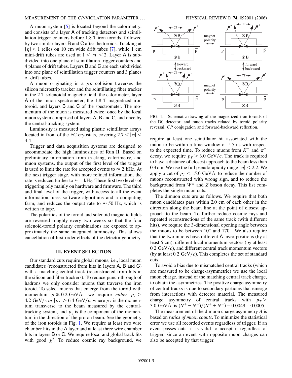### MEASUREMENT OF THE *CP*-VIOLATION PARAMETER ... PHYSICAL REVIEW D **74,** 092001 (2006)

A muon system [[5](#page-11-3)] is located beyond the calorimetry, and consists of a layer A of tracking detectors and scintillation trigger counters before 1.8 T iron toroids, followed by two similar layers B and C after the toroids. Tracking at  $|\eta|$  < 1 relies on 10 cm wide drift tubes [\[7\]](#page-11-5), while 1 cm mini-drift tubes are used at  $1 < |\eta| < 2$ . Layer A is subdivided into one plane of scintillation trigger counters and 4 planes of drift tubes. Layers B and C are each subdivided into one plane of scintillation trigger counters and 3 planes of drift tubes.

A muon originating in a  $p\bar{p}$  collision traverses the silicon microstrip tracker and the scintillating fiber tracker in the 2 T solenoidal magnetic field, the calorimeter, layer A of the muon spectrometer, the 1.8 T magnetized iron toroid, and layers B and C of the spectrometer. The momentum of the muon is measured twice: once by the local muon system comprised of layers A, B and C, and once by the central-tracking system.

Luminosity is measured using plastic scintillator arrays located in front of the EC cryostats, covering  $2.7 < |\eta|$ 4*:*4.

Trigger and data acquisition systems are designed to accommodate the high luminosities of Run II. Based on preliminary information from tracking, calorimetry, and muon systems, the output of the first level of the trigger is used to limit the rate for accepted events to  $\approx 2$  kHz. At the next trigger stage, with more refined information, the rate is reduced further to  $\approx 1 \text{ kHz}$ . These first two levels of triggering rely mainly on hardware and firmware. The third and final level of the trigger, with access to all the event information, uses software algorithms and a computing farm, and reduces the output rate to  $\approx$  50 Hz, which is written to tape.

The polarities of the toroid and solenoid magnetic fields are reversed roughly every two weeks so that the four solenoid-toroid polarity combinations are exposed to approximately the same integrated luminosity. This allows cancellation of first-order effects of the detector geometry.

# **III. EVENT SELECTION**

Our standard cuts require global muons, i.e., local muon candidates (reconstructed from hits in layers A, B and C) with a matching central track (reconstructed from hits in the silicon and fiber trackers). To reduce punch-through of hadrons we only consider muons that traverse the iron toroid. To select muons that emerge from the toroid with momentum  $p \ge 0.2$  GeV/c, we require *either*  $p<sub>T</sub>$ 4.2 GeV/c or  $|p_z| > 6.4$  GeV/c, where  $p_T$  is the momentum transverse to the beam measured by the centraltracking system, and  $p<sub>z</sub>$  is the component of the momentum in the direction of the proton beam. See the geometry of the iron toroids in Fig. [1.](#page-4-0) We require at least two wire chamber hits in the A layer and at least three wire chamber hits in layers B or C. We require local and global track fits with good  $\chi^2$ . To reduce cosmic ray background, we

<span id="page-4-0"></span>

FIG. 1. Schematic drawing of the magnetized iron toroids of the D0 detector, and muon tracks related by toroid polarity reversal, *CP* conjugation and forward-backward reflection.

require at least one scintillator hit associated with the muon to be within a time window of  $\pm 5$  ns with respect to the expected time. To reduce muons from  $K^{\pm}$  and  $\pi^{\pm}$ decay, we require  $p<sub>T</sub> > 3.0 \text{ GeV}/c$ . The track is required to have a distance of closest approach to the beam less than 0.3 cm. We use the full pseudorapidity range  $|\eta|$  < 2.2. We apply a cut of  $p<sub>T</sub> < 15.0 \text{ GeV}/c$  to reduce the number of muons reconstructed with wrong sign, and to reduce the background from  $W^{\pm}$  and *Z* boson decay. This list completes the single muon cuts.

The dimuon cuts are as follows. We require that both muon candidates pass within 2.0 cm of each other in the direction along the beam line at the point of closest approach to the beam. To further reduce cosmic rays and repeated reconstructions of the same track (with different hits), we require the 3-dimensional opening angle between the muons to be between 10° and 170°. We also require that the two muons have different A layer positions (by at least 5 cm), different local momentum vectors (by at least  $0.2 \text{ GeV}/c$ , and different central track momentum vectors (by at least  $0.2 \text{ GeV}/c$ ). This completes the set of standard cuts.

To avoid a bias due to mismatched central tracks (which are measured to be charge-asymmetric) we use the local muon charge, instead of the matching central track charge, to obtain the asymmetries. The positive charge asymmetry of central tracks is due to secondary particles that emerge from interactions with detector material. The measured charge asymmetry of central tracks with  $p_T >$ 3.0 GeV/c is  $(N^+ - N^-)/(N^+ + N^-) = 0.0049 \pm 0.0005$ .

The measurement of the dimuon charge asymmetry *A* is based on *ratios of muon counts*. To minimize the statistical error we use all recorded events regardless of trigger. If an event passes cuts, it is valid to accept it regardless of trigger, since an event with opposite muon charges can also be accepted by that trigger.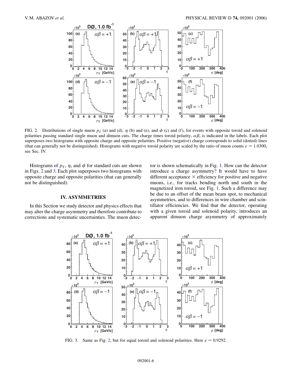<span id="page-5-0"></span>

FIG. 2. Distributions of single muon  $p_T$  (a) and (d),  $\eta$  (b) and (e), and  $\phi$  (c) and (f), for events with opposite toroid and solenoid polarities passing standard single muon and dimuon cuts. The charge times toroid polarity,  $\alpha\beta$ , is indicated in the labels. Each plot superposes two histograms with opposite charge and opposite polarities. Positive (negative) charge corresponds to solid (dotted) lines (that can generally not be distinguished). Histograms with negative toroid polarity are scaled by the ratio of muon counts  $e = 1.0300$ , see Sec. IV.

Histograms of  $p<sub>T</sub>$ ,  $\eta$ , and  $\phi$  for standard cuts are shown in Figs. [2](#page-5-0) and [3.](#page-5-1) Each plot superposes two histograms with opposite charge and opposite polarities (that can generally not be distinguished).

# **IV. ASYMMETRIES**

<span id="page-5-1"></span>In this Section we study detector and physics effects that may alter the charge asymmetry and therefore contribute to corrections and systematic uncertainties. The muon detector is shown schematically in Fig. [1.](#page-4-0) How can the detector introduce a charge asymmetry? It would have to have different acceptance  $\times$  efficiency for positive and negative muons, i.e., for tracks bending north and south in the magnetized iron toroid, see Fig. [1.](#page-4-0) Such a difference may be due to an offset of the mean beam spot, to mechanical asymmetries, and to differences in wire chamber and scintillator efficiencies. We find that the detector, operating with a given toroid and solenoid polarity, introduces an apparent dimuon charge asymmetry of approximately



FIG. 3. Same as Fig. [2](#page-5-0), but for equal toroid and solenoid polarities. Here  $e = 0.9292$ .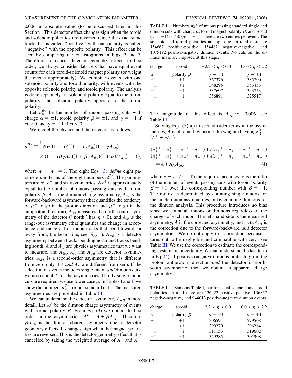0.006 in absolute value (to be discussed later in this Section). This detector effect changes sign when the toroid and solenoid polarities are reversed (since the exact same track that is called ''positive'' with one polarity is called ''negative'' with the opposite polarity). This effect can be seen by comparing the  $\eta$  histograms in Figs. [2](#page-5-0) and [3.](#page-5-1) Therefore, to cancel detector geometry effects to first order, we always consider data sets that have equal event counts for each toroid-solenoid magnet polarity (or weight the events appropriately). We combine events with one solenoid polarity and toroid polarity, with events with the opposite solenoid polarity and toroid polarity. The analysis is done separately for solenoid polarity equal to the toroid polarity, and solenoid polarity opposite to the toroid polarity.

Let  $n_{\alpha}^{\beta\gamma}$  be the number of muons passing cuts with charge  $\alpha = \pm 1$ , toroid polarity  $\beta = \pm 1$ , and  $\gamma = +1$  if  $\eta > 0$  and  $\gamma = -1$  if  $\eta < 0$ .

<span id="page-6-0"></span>We model the physics and the detector as follows:

$$
n_{\alpha}^{\beta\gamma} = \frac{1}{4} N \epsilon^{\beta} (1 + \alpha A)(1 + \alpha \gamma A_{\text{fb}})(1 + \gamma A_{\text{det}})
$$
  
 
$$
\times (1 + \alpha \beta \gamma A_{\text{ro}})(1 + \beta \gamma A_{\beta\gamma})(1 + \alpha \beta A_{\alpha\beta}), \quad (3)
$$

where  $\epsilon^+ + \epsilon^- = 1$ . The eight Eqs. ([3\)](#page-6-0) *define* eight parameters in terms of the eight numbers  $n_{\alpha}^{\beta\gamma}$ . The parameters are *N*,  $\epsilon^+$ , and six asymmetries.  $N\epsilon^{\beta}$  is approximately equal to the number of muons passing cuts with toroid polarity  $\beta$ . *A* is the dimuon charge asymmetry,  $A_{\text{fb}}$  is the forward-backward asymmetry (that quantifies the tendency of  $\mu^+$  to go in the proton direction and  $\mu^-$  to go in the antiproton direction),  $A_{\text{det}}$  measures the north-south asymmetry of the detector ("north" has  $\eta$  < 0), and  $A_{\text{ro}}$  is the range-out asymmetry (that quantifies the change in acceptance and range-out of muon tracks that bend toward, or away from, the beam line, see Fig. [1\)](#page-4-0).  $A_{\alpha\beta}$  is a detector asymmetry between tracks bending north and tracks bending south.  $A$  and  $A_{\text{fb}}$  are physics asymmetries that we want to measure, and  $A_{\text{det}}$ ,  $A_{\text{ro}}$  and  $A_{\alpha\beta}$  are detector asymmetries.  $A_{\beta\gamma}$  is a second-order asymmetry that is different from zero only if *A and A*ro are different from zero. If the selection of events includes single muon *and* dimuon cuts, we use capital *A* for the asymmetries. If only single muon cuts are required, we use lower case *a*. In Tables I and II we show the numbers  $n_{\alpha}^{\beta\gamma}$  for our standard cuts. The measured asymmetries are presented in Table III.

We can understand the detector asymmetry  $A_{\alpha\beta}$  in more detail. Let  $A^{\beta}$  be the dimuon charge asymmetry of events with toroid polarity  $\beta$ . From Eq. [\(3](#page-6-0)) we obtain, to first order in the asymmetries,  $A^{\beta} = A + \beta A_{\alpha\beta}$ . Therefore  $\beta A_{\alpha\beta}$  is the dimuon charge asymmetry due to detector geometry effects. It changes sign when the magnet polarities are reversed. This is the detector geometry effect that is cancelled by taking the weighted average of  $A^+$  and  $A^-$ .

TABLE I. Numbers  $n_{\alpha}^{\beta\gamma}$  of muons passing standard single and dimuon cuts with charge  $\alpha$ , toroid magnet polarity  $\beta$ , and  $\eta < 0$  $(\gamma = -1)$  or  $>0$  ( $\gamma = +1$ ). There are two entries per event. The solenoid and toroid polarities are opposite. In total there are 154667 positive-positive, 154482 negative-negative, and 1075192 positive-negative dimuon events. No cuts on the dimuon mass are imposed at this stage.

| charge   | toroid           | $-2.2 < \eta < 0.0$ | $0.0 < \eta < 2.2$ |
|----------|------------------|---------------------|--------------------|
| $\alpha$ | polarity $\beta$ | $\gamma = -1$       | $\gamma = +1$      |
| $+1$     | $+1$             | 367376              | 335700             |
| $-1$     | $+1$             | 348295              | 353453             |
| $+1$     | $-1$             | 337697              | 343753             |
| $-1$     | $-1$             | 356891              | 325517             |

The magnitude of this effect is  $A_{\alpha\beta} \approx -0.006$ , see Table III.

Solving Eqs. [\(3](#page-6-0)) up to second-order terms in the asymmetries, *A* is obtained by taking the weighted average  $\frac{1}{2} \times$  $(A^+ + eA^-)$ :

<span id="page-6-1"></span>
$$
(n_{+}^{++} + n_{+}^{+-} - n_{-}^{++} - n_{-}^{+-}) + e(n_{+}^{-+} + n_{+}^{--} - n_{-}^{-+} - n_{-}^{-+})
$$
  

$$
(n_{+}^{++} + n_{+}^{+-} + n_{-}^{++} + n_{-}^{+-}) + e(n_{+}^{-+} + n_{+}^{--} + n_{-}^{-+} + n_{-}^{--})
$$
  

$$
= A + A_{\text{fb}}A_{\text{det}}, \tag{4}
$$

where  $e \equiv \epsilon^+/\epsilon^-$ . To the required accuracy, *e* is the ratio of the number of events passing cuts with toroid polarity  $\beta = +1$  over the corresponding number with  $\beta = -1$ . The ratio *e* is determined by counting single muons for the single muon asymmetries, or by counting dimuons for the dimuon analysis. This procedure introduces no bias since we count all muons or dimuons regardless of the charges of each muon. The left-hand-side is the measured asymmetry, *A* is the corrected asymmetry, and  $-A_{\text{fb}}A_{\text{det}}$  is the correction due to the forward-backward *and* detector asymmetries. We do not apply this correction because it turns out to be negligible and compatible with zero, see Table III. We use the correction to estimate the corresponding systematic uncertainty. We can understand the last term in Eq. ([4](#page-6-1)): if positive (negative) muons prefer to go in the proton (antiproton) direction *and* the detector is northsouth asymmetric, then we obtain an apparent charge asymmetry.

TABLE II. Same as Table I, but for equal solenoid and toroid polarities. In total there are 136422 positive-positive, 136857 negative-negative, and 944013 positive-negative dimuon events.

| charge   | toroid           | $-2.2 < \eta < 0.0$ | $0.0 < \eta < 2.2$ |
|----------|------------------|---------------------|--------------------|
| $\alpha$ | polarity $\beta$ | $\gamma = -1$       | $\gamma = +1$      |
| $+1$     | $+1$             | 306594              | 279508             |
| $-1$     | $+1$             | 290270              | 296264             |
| $+1$     | $-1$             | 311153              | 319602             |
| $-1$     | $-1$             | 329285              | 301908             |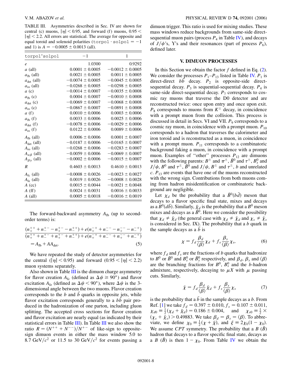TABLE III. Asymmetries described in Sec. IV are shown for central (c) muons,  $|\eta|$  < 0.95, and forward (f) muons, 0.95 <  $|\eta|$  < 2.2. All errors are statistical. The average for opposite and equal toroid and solenoid polarities  $(torpol \cdot solpol = -1$ and 1) is  $A = -0.0005 \pm 0.0013$  (all).

| torpol*solpol           | $-1$                 | 1                    |
|-------------------------|----------------------|----------------------|
| $\boldsymbol{e}$        | 1.0300               | 0.9292               |
| $a$ (all)               | $0.0001 \pm 0.0005$  | $-0.0012 \pm 0.0005$ |
| $a_{\text{fb}}$ (all)   | $0.0021 \pm 0.0005$  | $0.0011 \pm 0.0005$  |
| $a_{\text{det}}$ (all)  | $-0.0074 \pm 0.0005$ | $-0.0045 \pm 0.0005$ |
| $a_{\rm ro}$ (all)      | $-0.0268 \pm 0.0005$ | $-0.0298 \pm 0.0005$ |
| a(c)                    | $-0.0014 \pm 0.0007$ | $-0.0035 \pm 0.0008$ |
| $a_{\text{fb}}$ (c)     | $0.0004 \pm 0.0007$  | $-0.0010 \pm 0.0008$ |
| $a_{\text{det}}$ (c)    | $-0.0069 \pm 0.0007$ | $-0.0068 \pm 0.0008$ |
| $a_{\rm ro}$ (c)        | $-0.0867 \pm 0.0007$ | $-0.0891 \pm 0.0008$ |
| a(f)                    | $0.0010 \pm 0.0006$  | $0.0003 \pm 0.0006$  |
| $a_{\text{fb}}$ (f)     | $0.0033 \pm 0.0006$  | $0.0025 \pm 0.0006$  |
| $a_{\text{det}}$ (f)    | $-0.0078 \pm 0.0006$ | $-0.0029 \pm 0.0006$ |
| $a_{\rm ro}$ (f)        | $0.0122 \pm 0.0006$  | $0.0089 \pm 0.0006$  |
| $A_{\text{fb}}$ (all)   | $0.0006 \pm 0.0006$  | $0.0001 \pm 0.0007$  |
| $A_{\text{det}}$ (all)  | $-0.0187 \pm 0.0006$ | $-0.0165 \pm 0.0007$ |
| $A_{\rm ro}$ (all)      | $-0.0268 \pm 0.0006$ | $-0.0283 \pm 0.0007$ |
| $A_{\alpha\beta}$ (all) | $-0.0059 \pm 0.0006$ | $-0.0069 \pm 0.0007$ |
| $A_{\beta\gamma}$ (all) | $-0.0002 \pm 0.0006$ | $-0.0015 \pm 0.0007$ |
| $\boldsymbol{R}$        | $0.4603 \pm 0.0013$  | $0.4610 \pm 0.0013$  |
| $A_{\text{fc}}$ (all)   | $-0.0008 \pm 0.0026$ | $-0.0023 \pm 0.0027$ |
| $A_{\text{fe}}$ (all)   | $0.0019 \pm 0.0026$  | $-0.0008 \pm 0.0028$ |
| $A$ (cc)                | $0.0015 \pm 0.0044$  | $-0.0021 \pm 0.0048$ |
| $A(f\!f)$               | $0.0024 \pm 0.0031$  | $0.0016 \pm 0.0033$  |
| A (all)                 | $0.0005 \pm 0.0018$  | $-0.0016 \pm 0.0019$ |

The forward-backward asymmetry  $A_{\text{fb}}$  (up to secondorder terms) is:

$$
\frac{(n_{+}^{++} + n_{-}^{+-} - n_{+}^{+-} - n_{-}^{++}) + e(n_{+}^{-+} + n_{-}^{--} - n_{+}^{--} - n_{-}^{-+})}{(n_{+}^{++} + n_{-}^{+-} + n_{+}^{+-} + n_{-}^{++}) + e(n_{+}^{-+} + n_{-}^{--} + n_{+}^{--} + n_{-}^{-+})}
$$
  
= A<sub>fb</sub> + AA<sub>det</sub>. (5)

We have repeated the study of detector asymmetries for the central  $(|\eta| < 0.95)$  and forward  $(0.95 < |\eta| < 2.2)$ muon systems separately.

Also shown in Table  $III$  is the dimuon charge asymmetry for flavor creation  $A_{\text{fc}}$  (defined as  $\Delta \psi \ge 90^{\circ}$ ) and flavor excitation  $A_{\text{fe}}$  (defined as  $\Delta \psi < 90^{\circ}$ ), where  $\Delta \psi$  is the 3dimensional angle between the two muons. Flavor creation corresponds to the *b* and *b* quarks in opposite jets, while flavor excitation corresponds generally to a *bb* pair produced in the hadronization of one parton, including gluon splitting. The accepted cross sections for flavor creation and flavor excitation are nearly equal (as indicated by their statistical errors in Table III). In Table III we also show the ratio  $R = (N^{++} + N^{--})/N^{+-}$  of like-sign to oppositesign dimuon events in either the mass window 5.0 to 8.7 GeV/ $c^2$  or 11.5 to 30 GeV/ $c^2$  for events passing a dimuon trigger. This ratio is used for mixing studies. These mass windows reduce backgrounds from same-side directsequential muon pairs (process  $P_4$  in Table IV), and decays of  $J/\psi$ 's, Y's and their resonances (part of process  $P_6$ ), defined later.

### **V. DIMUON PROCESSES**

In this Section we obtain the factor *f* defined in Eq. ([2\)](#page-3-0). We consider the processes  $P_1-P_{13}$  listed in Table IV.  $P_1$  is direct-direct  $b\bar{b}$  decay.  $P_2$  is opposite-side directsequential decay.  $P_3$  is sequential-sequential decay.  $P_4$  is same-side direct-sequential decay.  $P_7$  corresponds to cosmic ray muons that traverse the D0 detector and are reconstructed twice: once upon entry and once upon exit.  $P_8$  corresponds to muons from  $K^{\pm}$  decay, in coincidence with a prompt muon from the collision. This process is discussed in detail in Secs. VI and VII.  $P<sub>9</sub>$  corresponds to a cosmic ray muon, in coincidence with a prompt muon.  $P_{10}$ corresponds to a hadron that traverses the calorimeter and iron toroid and is reconstructed as a muon, in coincidence with a prompt muon.  $P_{11}$  corresponds to a combinatoric background faking a muon, in coincidence with a prompt muon. Examples of "other" processes  $P_{12}$  are dimuons with the following parents:  $B^{\pm}$  and  $\pi^{\pm}$ ,  $\bar{B}^0$  and  $\tau^{\pm}$ ,  $B_s^0$  and  $J/\psi$ ,  $B^0$  and  $\tau^{\pm}$ ,  $\bar{B}^0$  and  $J/\psi$ ,  $B^{\pm}$  and  $\tau^{\pm}$ , *b* and unrelated  $c$ .  $P_{13}$  are events that have one of the muons reconstructed with the wrong sign. Contributions from both muons coming from hadron misidentification or combinatoric background are negligible.

Let  $\chi_d$  be the probability that a  $\bar{B}^0(b\bar{d})$  meson that decays to a flavor specific final state, mixes and decays as a  $B^0(db)$ . Similarly,  $\bar{\chi}_d$  is the probability that a  $B^0$  meson mixes and decays as a  $\bar{B}^0$ . Here we consider the possibility that  $\chi_d \neq \bar{\chi}_d$  (the general case with  $\chi_d \neq \bar{\chi}_d$  and  $\chi_s \neq \bar{\chi}_s$ is considered in Sec. IX). The probability that a *b* quark in the sample decays as a *b* is

$$
\chi = f_d \frac{\beta_d}{\langle \beta \rangle} \chi_d + f_s \frac{\beta_s}{\langle \beta \rangle} \chi_s, \tag{6}
$$

where  $f_d$  and  $f_s$  are the fractions of *b* quarks that hadronize to  $B^0$  or  $\overline{B}^0$  and  $B_s^0$  or  $\overline{B}_s^0$  respectively, and  $\beta_d$ ,  $\beta_s$  and  $\langle \beta \rangle$ are the branching fractions for  $B^0$ ,  $B_s^0$  and the *b*-hadron admixture, respectively, decaying to  $\mu X$  with  $\mu$  passing cuts. Similarly,

$$
\bar{\chi} = f_d \frac{\beta_d}{\langle \beta \rangle} \bar{\chi}_d + f_s \frac{\beta_s}{\langle \beta \rangle} \chi_s \tag{7}
$$

is the probability that a  $\bar{b}$  in the sample decays as a  $b$ . From Ref. [\[1\]](#page-11-0) we take  $f<sub>d</sub> = 0.397 \pm 0.010, f<sub>s</sub> = 0.107 \pm 0.011,$  $\chi_{d0} \equiv \frac{1}{2}(\chi_d + \bar{\chi}_d) = 0.186 \pm 0.004$ , and  $\chi_{s0} \equiv \frac{1}{2} \times$  $(\chi_s + \bar{\chi}_s) > 0.49883$ . We take  $\beta_d = \beta_s = \langle \beta \rangle$ . To abbreviate, we define  $\chi_0 = \frac{1}{2}(\chi + \bar{\chi})$ , and  $\xi = 2\chi_0(1 - \chi_0)$ . We assume *CPT* symmetry. The probability that a  $B(\bar{B})$ hadron that decays to a flavor specific final state, decays as a *B* ( $\overline{B}$ ) is then  $1 - \chi_0$ . From Table IV we obtain the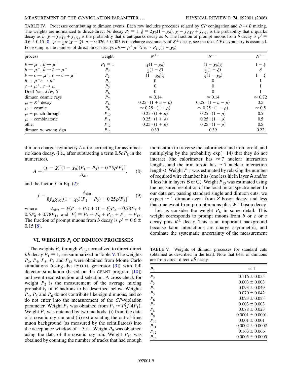TABLE IV. Processes contributing to dimuon events. Each row includes processes related by *CP* conjugation and  $B \leftrightarrow \overline{B}$  mixing. The weights are normalized to direct-direct  $b\bar{b}$  decay  $P_1 = 1$ .  $\xi = 2\chi_0(1 - \chi_0)$ .  $\chi = f_d\chi_d + f_s\chi_s$  is the probability that *b* quarks decay as  $\bar{b}$ .  $\bar{\chi} = f_d \bar{\chi}_d + f_s \chi_s$  is the probability that  $\bar{b}$  antiquarks decay as *b*. The fraction of prompt muons from *b* decay is  $\rho' \equiv$  $0.6 \pm 0.15$  [\[8](#page-11-6)].  $\rho = \frac{1}{2}\rho'(\chi - \bar{\chi})$ .  $a = 0.026 \pm 0.005$  is the charge asymmetry of  $K^{\pm}$  decay, see the text. *CPT* symmetry is assumed. For example, the number of direct-direct decays  $b\bar{b} \rightarrow \mu^+ \mu^+ X$  is  $\propto P_1 \chi (1 - \chi_0)$ .

| process                                                                            | weight         | $N^{++}$                        | $N^{--}$                        | $N^{+-}$       |
|------------------------------------------------------------------------------------|----------------|---------------------------------|---------------------------------|----------------|
| $b \rightarrow \mu^-$ , $\bar{b} \rightarrow \mu^+$                                | $P_1 = 1$      | $\chi(1 - \chi_0)$              | $(1 - \chi_0)\bar{\chi}$        | $1-\xi$        |
| $b \rightarrow \mu^-$ , $\bar{b} \rightarrow \bar{c} \rightarrow \mu^-$            | P <sub>2</sub> | $rac{1}{2}(1-\xi)$              | $rac{1}{2}(1-\xi)$              |                |
| $b \rightarrow c \rightarrow \mu^+, \bar{b} \rightarrow \bar{c} \rightarrow \mu^-$ | $P_3$          | $(1 - \chi_0)\bar{\chi}$        | $\chi(1-\chi_0)$                | $1-\xi$        |
| $b \rightarrow \mu^- c \rightarrow \mu^+$                                          | $P_4$          | $\theta$                        | $\theta$                        |                |
| $c \rightarrow \mu^+, \bar{c} \rightarrow \mu^-$                                   | $P_5$          |                                 |                                 |                |
| Drell-Yan, $J/\psi$ , Y                                                            | $P_6$          |                                 |                                 |                |
| dimuon cosmic rays                                                                 | $P_7$          | $\approx 0.14$                  | $\approx 0.14$                  | $\approx 0.72$ |
| $\mu + K^{\pm}$ decay                                                              | $P_8$          | $0.25 \cdot (1 + a + \rho)$     | $0.25 \cdot (1 - a - \rho)$     | 0.5            |
| $\mu$ + cosmic                                                                     | $P_{9}$        | $\approx 0.25 \cdot (1 + \rho)$ | $\approx 0.25 \cdot (1 - \rho)$ | $\approx 0.5$  |
| $\mu$ + punch-through                                                              | $P_{10}$       | $0.25 \cdot (1 + \rho)$         | $0.25 \cdot (1 - \rho)$         | 0.5            |
| $\mu$ + combinatoric                                                               | $P_{11}$       | $0.25 \cdot (1 + \rho)$         | $0.25 \cdot (1 - \rho)$         | 0.5            |
| other                                                                              | $P_{12}$       | $0.25 \cdot (1 + \rho)$         | $0.25 \cdot (1 - \rho)$         | 0.5            |
| dimuon w. wrong sign                                                               | $P_{13}$       | 0.39                            | 0.39                            | 0.22           |

dimuon charge asymmetry *A* after correcting for asymmetric kaon decay, (i.e., after subtracting a term 0*:*5*aP*<sup>8</sup> in the numerator),

<span id="page-8-0"></span>
$$
A = \frac{(\chi - \bar{\chi})[(1 - \chi_0)(P_1 - P_3) + 0.25\rho'P_8']}{A_{\text{den}}},
$$
 (8)

and the factor  $f$  in Eq.  $(2)$ :

$$
f = \frac{A_{\text{den}}}{8f_d\chi_{d0}[(1-\chi_0)(P_1-P_3)+0.25\rho'P_8']},\qquad(9)
$$

where  $A_{den} = \xi(P_1 + P_3) + (1 - \xi)P_2 + 0.28P_7 +$  $0.5P'_8 + 0.78P_{13}$  and  $P'_8 = P_8 + P_9 + P_{10} + P_{11} + P_{12}$ . The fraction of prompt muons from *b* decay is  $\rho' \equiv 0.6 \pm 0.6$ 0*:*15 [[8\]](#page-11-6).

## **VI. WEIGHTS** *Pi* **OF DIMUON PROCESSES**

The weights  $P_2$  through  $P_{13}$ , normalized to direct-direct  $b\bar{b}$  decay  $P_1 \equiv 1$ , are summarized in Table V. The weights  $P_2$ ,  $P_4$ ,  $P_5$ ,  $P_6$  and  $P_{12}$  were obtained from Monte Carlo simulations (using the PYTHIA generator [[9\]](#page-11-7)) with full detector simulation (based on the GEANT program [[10](#page-11-8)]) and event reconstruction and selection. A cross-check for weight  $P_2$  is the measurement of the average mixing probability of *B* hadrons to be described below. Weights  $P_4$ ,  $P_5$  and  $P_6$  do not contribute like-sign dimuons, and so do not enter into the measurement of the *CP*-violation parameter. Weight  $P_3$  was obtained from  $P_3 \approx P_2^2/(4P_1)$ . Weight  $P_7$  was obtained by two methods: (i) from the data of a cosmic ray run, and (ii) extrapolating the out-of-time muon background (as measured by the scintillators) into the acceptance window of  $\pm 5$  ns. Weight  $P_9$  was obtained using the data of the cosmic ray run. Weight  $P_{10}$  was obtained by counting the number of tracks that had enough momentum to traverse the calorimeter and iron toroid, and multiplying by the probability  $exp(-14)$  that they do not interact (the calorimeter has  $\approx$  7 nuclear interaction lengths, and the iron toroid has  $\approx$  7 nuclear interaction lengths). Weight  $P_{11}$  was estimated by relaxing the number of required wire chamber hits (one less hit in layer A and/or 1 less hit in layers  $\overline{B}$  or  $\overline{C}$ ). Weight  $P_{13}$  was estimated using the measured resolution of the local muon spectrometer. In our data set, passing standard single and dimuon cuts, we expect  $\approx 1$  dimuon event from *Z* boson decay, and less than one event from prompt muons plus  $W^{\pm}$  boson decay.

Let us consider the weight  $P_8$  in some detail. This weight corresponds to prompt muons from *b* or *c* or *s* decay plus  $K^{\pm}$  decay. This is an important background because kaon interactions are charge asymmetric, and dominate the systematic uncertainty of the measurement

TABLE V. Weights of dimuon processes for standard cuts (obtained as described in the text). Note that 64% of dimuons are from direct-direct  $b\bar{b}$  decay.

| $P_1$          | $\equiv$ 1          |
|----------------|---------------------|
| P <sub>2</sub> | $0.116 \pm 0.055$   |
| $P_3$          | $0.003 \pm 0.003$   |
| $P_4$          | $0.093 \pm 0.049$   |
| $P_5$          | $0.070 \pm 0.042$   |
| $P_6$          | $0.023 \pm 0.023$   |
| $P_7$          | $0.003 \pm 0.003$   |
| $P_8$          | $0.078 \pm 0.023$   |
| $P_{9}$        | $0.0001 \pm 0.0001$ |
| $P_{10}$       | $0.001 \pm 0.001$   |
| $P_{11}$       | $0.0002 \pm 0.0002$ |
| $P_{12}$       | $0.163 \pm 0.066$   |
| $P_{13}$       | $0.0005 \pm 0.0005$ |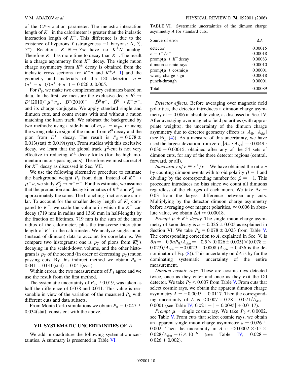of the *CP*-violation parameter. The inelastic interaction length of  $K^+$  in the calorimeter is greater than the inelastic interaction length of  $K^-$ . This difference is due to the existence of hyperons *Y* (strangeness  $-1$  baryons:  $\Lambda$ ,  $\Sigma$ , *Y*<sup>\*</sup>). Reactions  $K^-N \to Y\pi$  have no  $K^+N$  analog. Therefore  $K^+$  has more time to decay than  $K^-$ . The result is a charge asymmetry from  $K^{\pm}$  decay. The single muon charge asymmetry from  $K^{\pm}$  decay is obtained from the inelastic cross sections for  $K^-d$  and  $K^+d$  [[1](#page-11-0)] and the geometry and materials of the D0 detector:  $a \equiv$  $(n^+ - n^-)/(n^+ + n^-) = 0.026 \pm 0.005.$ 

For  $P_8$ , we make two complementary estimates based on data. In the first, we measure the exclusive decay  $B^0 \rightarrow$  $D^*(2010)^{-} \mu^{+} \nu_{\mu}$ ,  $D^*(2010)^{-} \rightarrow \bar{D}^0 \pi^{-}$ ,  $\bar{D}^0 \rightarrow K^{+} \pi^{-}$ , and its charge conjugate. We apply standard single and dimuon cuts, and count events with and without a muon matching the kaon track. We subtract the background by two methods: using a side-band of  $m_{D^{*-}} - m_{D^0}$ , or using the wrong relative sign of the muon from *B*<sup>0</sup> decay and the pion from  $D^{*-}$  decay. The result is  $P_8 = 0.078 \pm 1.0078$  $0.013(stat) \pm 0.019(syst)$ . From studies with this exclusive decay, we learn that the global track  $\chi^2$ -cut is not very effective in reducing  $K^{\pm}$  decay kinks (for the high momentum muons passing cuts). Therefore we must correct *A* for  $K^{\pm}$  decay as discussed in Sec. VII.

We use the following alternative procedure to estimate the background weight  $P_8$  from data. Instead of  $K^+ \rightarrow$  $\mu^+ \nu$ , we study  $K^0_S \rightarrow \pi^+ \pi^-$ . For this estimate, we assume that the production and decay kinematics of  $K^+$  and  $K^0_S$  are approximately the same. The branching fractions are similar. To account for the smaller decay length of  $K_S^0$  compared to  $K^{\pm}$ , we scale the volume in which the  $K^{\pm}$  can decay (719 mm in radius and 1360 mm in half-length) by the fraction of lifetimes. 719 mm is the sum of the inner radius of the calorimeter, plus the transverse interaction length of  $K^+$  in the calorimeter. We analyze single muon (instead of dimuon) data to account for correlations. We compare two histograms: one is  $p<sub>T</sub>$  of pions from  $K_S^0$ 's decaying in the scaled-down volume, and the other histogram is  $p<sub>T</sub>$  of the second (in order of decreasing  $p<sub>T</sub>$ ) muon passing cuts. By this indirect method we obtain  $P_8 \approx$  $0.041 \pm 0.010(stat) \pm 0.041(syst).$ 

Within errors, the two measurements of  $P_8$  agree and we use the result from the first method.

The systematic uncertainty of  $P_8$ ,  $\pm 0.019$ , was taken as half the difference of 0.078 and 0.041. This value is reasonable in view of the variation of the measured  $P_8$  with different cuts and data subsets.

From Monte Carlo simulations we obtain  $P_8 = 0.047 \pm 0.047$ 0.034(stat), consistent with the above.

### **VII. SYSTEMATIC UNCERTAINTIES OF** *A*

We add in quadrature the following systematic uncertainties. A summary is presented in Table VI.

TABLE VI. Systematic uncertainties of the dimuon charge asymmetry *A* for standard cuts.

| Source of error              | ΔΑ      |
|------------------------------|---------|
| detector                     | 0.00015 |
| $e = \epsilon^+/\epsilon^-$  | 0.00018 |
| prompt $\mu + K^{\pm}$ decay | 0.00083 |
| dimuon cosmic rays           | 0.00010 |
| prompt $\mu$ + cosmic $\mu$  | 0.00001 |
| wrong charge sign            | 0.00018 |
| punch-through                | 0.00001 |
| Total                        | 0.00089 |

*Detector effects*. Before averaging over magnetic field polarities, the detector introduces a dimuon charge asymmetry of  $\approx 0.006$  in absolute value, as discussed in Sec. IV. After averaging over magnetic field polarities (with appropriate weights), the uncertainty of the dimuon charge asymmetry due to detector geometry effects is  $|A_{fb} \cdot A_{det}|$ (see Eq. ([4\)](#page-6-1)). As a measure of this uncertainty, we have used the largest deviation from zero,  $|A_{\text{fb}} \cdot A_{\text{det}}| = 0.0049 \cdot$  $0.030 = 0.00015$ , obtained after any of the 54 sets of dimuon cuts, for any of the three detector regions (central, forward, or all).

*Inaccuracy of*  $e \equiv \epsilon^+/\epsilon^-$ . We have obtained the ratio *e* by counting dimuon events with toroid polarity  $\beta = 1$  and dividing by the corresponding number for  $\beta = -1$ . This procedure introduces no bias since we count all dimuons regardless of the charges of each muon. We take  $\Delta e =$ 0*:*03 from the largest difference between any cuts. Multiplying by the detector dimuon charge asymmetry before averaging over magnet polarities,  $\approx 0.006$  in absolute value, we obtain  $\Delta A \approx 0.00018$ .

*Prompt*  $\mu + K^{\pm}$  *decay*. The single muon charge asymmetry of kaon decay is  $a = 0.026 \pm 0.005$  as explained in Section VI. We take  $P_8 = 0.078 \pm 0.023$  from Table V. The corresponding correction to *A*, explained in Sec. V, is  $\delta A = -0.5aP_8/A_{\text{den}} = -0.5 \times (0.026 \pm 0.005) \times (0.078 \pm 0.005)$  $(0.023)/A_{\text{den}} = -0.0023 \pm 0.0008$  ( $A_{\text{den}} \approx 0.436$  is the denominator of Eq.  $(8)$  $(8)$ ). This uncertainty on  $\delta A$  is by far the dominating systematic uncertainty of the entire measurement.

*Dimuon cosmic rays*. These are cosmic rays detected twice, once as they enter and once as they exit the D0 detector. We take  $P_7 < 0.007$  from Table V. From cuts that select cosmic rays, we obtain the apparent dimuon charge asymmetry  $A = -0.0095 \pm 0.0117$ . Then the corresponding uncertainty of *A* is  $\langle 0.007 \times 0.28 \times 0.021 \rangle / A_{den} =$ 0.0001 (see Table IV;  $0.021 = |-0.0095| + 0.0117$ ).

*Prompt*  $\mu$  + single cosmic ray. We take  $P_9 < 0.0002$ , see Table V. From cuts that select cosmic rays, we obtain an apparent single muon charge asymmetry  $a = 0.026 \pm 0.026$ 0.002. Then the uncertainty in *A* is  $\leq 0.0002 \times 0.5 \times$  $0.028/A_{\text{den}} = 6 \times 10^{-6}$  (see Table IV;  $0.028 =$  $0.026 + 0.002$ .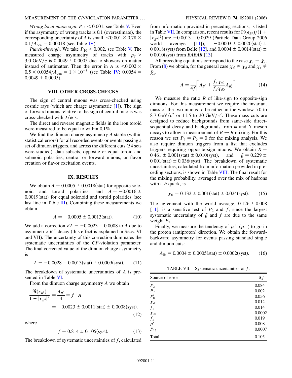*Wrong local muon sign.*  $P_{13}$  < 0.001, see Table V. Even if the asymmetry of wrong tracks is 0.1 (overestimate), the corresponding uncertainty of *A* is small:  $\leq 0.001 \times 0.78 \times$  $0.1/A_{\text{den}} = 0.00018$  (see Table IV).

*Punch-through*. We take  $P_{10}$  < 0.002, see Table V. The measured charge asymmetry of tracks with  $p_T$ 3.0 GeV/c is  $0.0049 \pm 0.0005$  due to showers on matter instead of antimatter. Then the error in *A* is  $\leq 0.002 \times$  $0.5 \times 0.0054/A_{\text{den}} = 1 \times 10^{-5}$  (see Table IV;  $0.0054 =$  $0.0049 + 0.0005$ ).

### **VIII. OTHER CROSS-CHECKS**

The sign of central muons was cross-checked using cosmic rays (which are charge asymmetric [[1\]](#page-11-0)). The sign of forward muons relative to the sign of central muons was cross-checked with  $J/\psi$ 's.

The direct and reverse magnetic fields in the iron toroid were measured to be equal to within 0.1%.

We find the dimuon charge asymmetry *A* stable (within statistical errors) for all recorded events or events passing a set of dimuon triggers, and across the different cuts (54 sets were studied), data subsets, opposite or equal toroid and solenoid polarities, central or forward muons, or flavor creation or flavor excitation events.

# **IX. RESULTS**

We obtain  $A = 0.0005 \pm 0.0018$  (stat) for opposite solenoid and toroid polarities, and  $A = -0.0016 \pm 1.0016$ 0.0019(stat) for equal solenoid and toroid polarities (see last line in Table III). Combining these measurements we obtain

$$
A = -0.0005 \pm 0.0013(stat). \tag{10}
$$

We add a correction  $\delta A = -0.0023 \pm 0.0008$  to *A* due to asymmetric  $K^{\pm}$  decay (this effect is explained in Secs. VI and VII). The uncertainty of this correction dominates the systematic uncertainties of the *CP*-violation parameter. The final corrected value of the dimuon charge asymmetry is

<span id="page-10-0"></span>
$$
A = -0.0028 \pm 0.0013(stat) \pm 0.0009(syst). \tag{11}
$$

The breakdown of systematic uncertainties of *A* is presented in Table VI.

From the dimuon charge asymmetry *A* we obtain

$$
\frac{\mathfrak{R}(\epsilon_{B^0})}{1+|\epsilon_{B^0}|^2} = \frac{A_{B^0}}{4} \equiv f \cdot A
$$
  
= -0.0023 ± 0.0011(stat) ± 0.0008(syst), (12)

where

$$
f = 0.814 \pm 0.105 \text{(syst)}.\tag{13}
$$

The breakdown of systematic uncertainties of *f*, calculated

from information provided in preceding sections, is listed in Table VII. In comparison, recent results for  $\Re(\epsilon_{B^0})/(1 +$  $|\epsilon_{B^0}|^2$ ) are  $-0.0013 \pm 0.0029$  (Particle Data Group 2006 world average  $[11]$ ),  $-0.0003 \pm 0.0020(stat) \pm$ 0.0018(syst) from Belle [\[12\]](#page-11-10), and  $0.0004 \pm 0.0014$ (stat)  $\pm$ 0.0010(syst) from *BABAR* [\[13\]](#page-11-11).

<span id="page-10-2"></span>All preceding equations correspond to the case  $\chi_s = \bar{\chi}_s$ . From [\(8](#page-8-0)) we obtain, for the general case  $\chi_d \neq \bar{\chi}_d$  and  $\chi_s \neq$  $\bar{\chi}_s$ ,

$$
A = \frac{1}{4f} \bigg[ A_{B^0} + \frac{f_s \chi_{s0}}{f_d \chi_{d0}} A_{B_s^0} \bigg].
$$
 (14)

We measure the ratio  $R$  of like-sign to opposite-sign dimuons. For this measurement we require the invariant mass of the two muons to be either in the window 5.0 to 8.7 GeV/ $c^2$  or 11.5 to 30 GeV/ $c^2$ . These mass cuts are designed to reduce backgrounds from same-side directsequential decay and backgrounds from  $\psi$  and  $\Upsilon$  meson decays to allow a measurement of  $B \leftrightarrow B$  mixing. For this reason we set  $P_4 = P_6 = 0$  for the mixing analysis. We also require dimuon triggers from a list that excludes triggers requiring opposite-sign muons. We obtain  $R =$  $0.461 \pm 0.001(stat) \pm 0.010(syst)$ , and  $\xi = 0.229 \pm 0.010(syst)$  $0.001$ (stat)  $\pm 0.036$ (syst). The breakdown of systematic uncertainties, calculated from information provided in preceding sections, is shown in Table VIII. The final result for the mixing probability, averaged over the mix of hadrons with a *b* quark, is

$$
\chi_0 = 0.132 \pm 0.001 \text{(stat)} \pm 0.024 \text{(syst)}.
$$
 (15)

The agreement with the world average,  $0.126 \pm 0.008$ [\[11\]](#page-11-9), is a sensitive test of  $P_2$  and  $f$ , since the largest systematic uncertainty of  $\xi$  and  $f$  are due to the same weight  $P_2$ .

Finally, we measure the tendency of  $\mu^+$  ( $\mu^-$ ) to go in the proton (antiproton) direction. We obtain the forwardbackward asymmetry for events passing standard single and dimuon cuts:

<span id="page-10-1"></span>
$$
A_{\text{fb}} = 0.0004 \pm 0.0005 \text{(stat)} \pm 0.0002 \text{(syst)}.
$$
 (16)

TABLE VII. Systematic uncertainties of *f*.

| Source of error | $\Delta f$ |
|-----------------|------------|
| P <sub>2</sub>  | 0.084      |
| $P_7$           | 0.002      |
| $P'_8$          | 0.056      |
| $\chi_{d0}$     | 0.012      |
| $f_d$           | 0.014      |
| $\chi_{s0}$     | 0.0002     |
| $f_s$           | 0.019      |
| $\rho'$         | 0.008      |
| $P_{13}$        | 0.0007     |
| Total           | 0.105      |